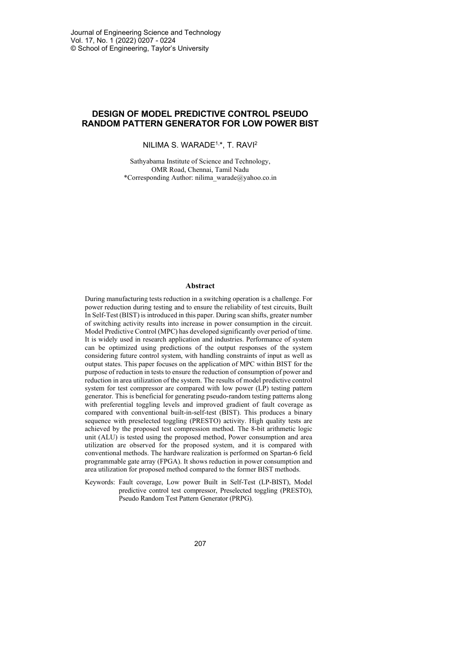# **DESIGN OF MODEL PREDICTIVE CONTROL PSEUDO RANDOM PATTERN GENERATOR FOR LOW POWER BIST**

NILIMA S. WARADE1, \*, T. RAVI2

Sathyabama Institute of Science and Technology, OMR Road, Chennai, Tamil Nadu \*Corresponding Author: nilima\_warade@yahoo.co.in

#### **Abstract**

During manufacturing tests reduction in a switching operation is a challenge. For power reduction during testing and to ensure the reliability of test circuits, Built In Self-Test (BIST) is introduced in this paper. During scan shifts, greater number of switching activity results into increase in power consumption in the circuit. Model Predictive Control (MPC) has developed significantly over period of time. It is widely used in research application and industries. Performance of system can be optimized using predictions of the output responses of the system considering future control system, with handling constraints of input as well as output states. This paper focuses on the application of MPC within BIST for the purpose of reduction in tests to ensure the reduction of consumption of power and reduction in area utilization of the system. The results of model predictive control system for test compressor are compared with low power (LP) testing pattern generator. This is beneficial for generating pseudo-random testing patterns along with preferential toggling levels and improved gradient of fault coverage as compared with conventional built-in-self-test (BIST). This produces a binary sequence with preselected toggling (PRESTO) activity. High quality tests are achieved by the proposed test compression method. The 8-bit arithmetic logic unit (ALU) is tested using the proposed method, Power consumption and area utilization are observed for the proposed system, and it is compared with conventional methods. The hardware realization is performed on Spartan-6 field programmable gate array (FPGA). It shows reduction in power consumption and area utilization for proposed method compared to the former BIST methods.

Keywords: Fault coverage, Low power Built in Self-Test (LP-BIST), Model predictive control test compressor, Preselected toggling (PRESTO), Pseudo Random Test Pattern Generator (PRPG).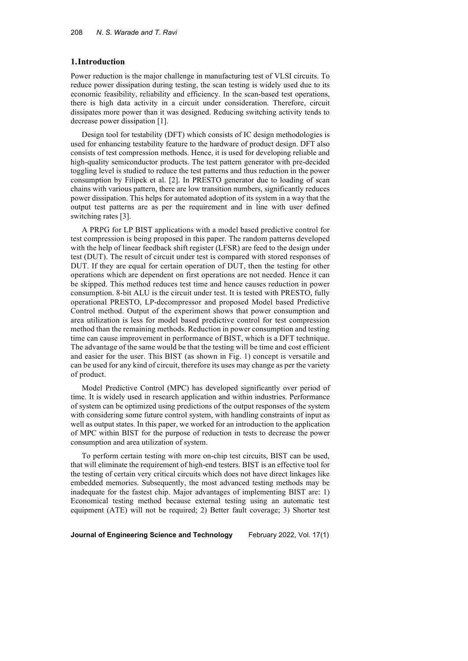### **1.Introduction**

Power reduction is the major challenge in manufacturing test of VLSI circuits. To reduce power dissipation during testing, the scan testing is widely used due to its economic feasibility, reliability and efficiency. In the scan-based test operations, there is high data activity in a circuit under consideration. Therefore, circuit dissipates more power than it was designed. Reducing switching activity tends to decrease power dissipation [1].

Design tool for testability (DFT) which consists of IC design methodologies is used for enhancing testability feature to the hardware of product design. DFT also consists of test compression methods. Hence, it is used for developing reliable and high-quality semiconductor products. The test pattern generator with pre-decided toggling level is studied to reduce the test patterns and thus reduction in the power consumption by Filipek et al. [2]. In PRESTO generator due to loading of scan chains with various pattern, there are low transition numbers, significantly reduces power dissipation. This helps for automated adoption of its system in a way that the output test patterns are as per the requirement and in line with user defined switching rates [3].

A PRPG for LP BIST applications with a model based predictive control for test compression is being proposed in this paper. The random patterns developed with the help of linear feedback shift register (LFSR) are feed to the design under test (DUT). The result of circuit under test is compared with stored responses of DUT. If they are equal for certain operation of DUT, then the testing for other operations which are dependent on first operations are not needed. Hence it can be skipped. This method reduces test time and hence causes reduction in power consumption. 8-bit ALU is the circuit under test. It is tested with PRESTO, fully operational PRESTO, LP-decompressor and proposed Model based Predictive Control method. Output of the experiment shows that power consumption and area utilization is less for model based predictive control for test compression method than the remaining methods. Reduction in power consumption and testing time can cause improvement in performance of BIST, which is a DFT technique. The advantage of the same would be that the testing will be time and cost efficient and easier for the user. This BIST (as shown in Fig. 1) concept is versatile and can be used for any kind of circuit, therefore its uses may change as per the variety of product.

Model Predictive Control (MPC) has developed significantly over period of time. It is widely used in research application and within industries. Performance of system can be optimized using predictions of the output responses of the system with considering some future control system, with handling constraints of input as well as output states. In this paper, we worked for an introduction to the application of MPC within BIST for the purpose of reduction in tests to decrease the power consumption and area utilization of system.

To perform certain testing with more on-chip test circuits, BIST can be used, that will eliminate the requirement of high-end testers. BIST is an effective tool for the testing of certain very critical circuits which does not have direct linkages like embedded memories. Subsequently, the most advanced testing methods may be inadequate for the fastest chip. Major advantages of implementing BIST are: 1) Economical testing method because external testing using an automatic test equipment (ATE) will not be required; 2) Better fault coverage; 3) Shorter test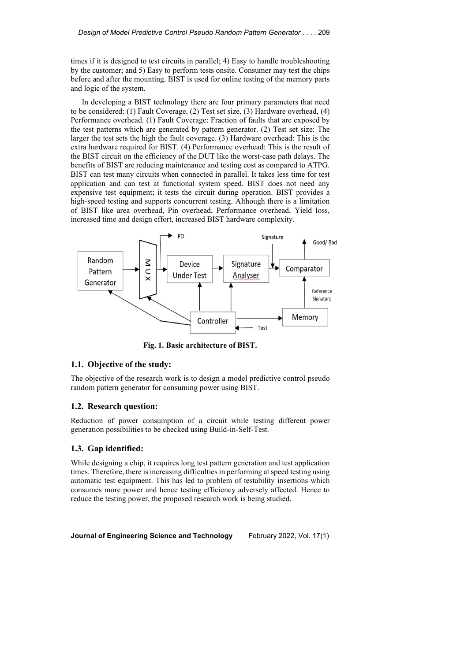times if it is designed to test circuits in parallel; 4) Easy to handle troubleshooting by the customer; and 5) Easy to perform tests onsite. Consumer may test the chips before and after the mounting. BIST is used for online testing of the memory parts and logic of the system.

In developing a BIST technology there are four primary parameters that need to be considered: (1) Fault Coverage, (2) Test set size, (3) Hardware overhead, (4) Performance overhead. (1) Fault Coverage: Fraction of faults that are exposed by the test patterns which are generated by pattern generator. (2) Test set size: The larger the test sets the high the fault coverage. (3) Hardware overhead: This is the extra hardware required for BIST. (4) Performance overhead: This is the result of the BIST circuit on the efficiency of the DUT like the worst-case path delays. The benefits of BIST are reducing maintenance and testing cost as compared to ATPG. BIST can test many circuits when connected in parallel. It takes less time for test application and can test at functional system speed. BIST does not need any expensive test equipment; it tests the circuit during operation. BIST provides a high-speed testing and supports concurrent testing. Although there is a limitation of BIST like area overhead, Pin overhead, Performance overhead, Yield loss, increased time and design effort, increased BIST hardware complexity.



**Fig. 1. Basic architecture of BIST.**

# **1.1. Objective of the study:**

The objective of the research work is to design a model predictive control pseudo random pattern generator for consuming power using BIST.

### **1.2. Research question:**

Reduction of power consumption of a circuit while testing different power generation possibilities to be checked using Build-in-Self-Test.

### **1.3. Gap identified:**

While designing a chip, it requires long test pattern generation and test application times. Therefore, there is increasing difficulties in performing at speed testing using automatic test equipment. This has led to problem of testability insertions which consumes more power and hence testing efficiency adversely affected. Hence to reduce the testing power, the proposed research work is being studied.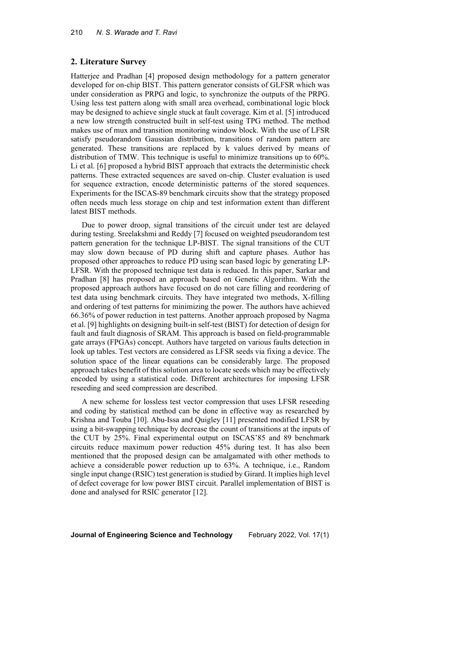#### **2. Literature Survey**

Hatterjee and Pradhan [4] proposed design methodology for a pattern generator developed for on-chip BIST. This pattern generator consists of GLFSR which was under consideration as PRPG and logic, to synchronize the outputs of the PRPG. Using less test pattern along with small area overhead, combinational logic block may be designed to achieve single stuck at fault coverage. Kim et al. [5] introduced a new low strength constructed built in self-test using TPG method. The method makes use of mux and transition monitoring window block. With the use of LFSR satisfy pseudorandom Gaussian distribution, transitions of random pattern are generated. These transitions are replaced by k values derived by means of distribution of TMW. This technique is useful to minimize transitions up to 60%. Li et al. [6] proposed a hybrid BIST approach that extracts the deterministic check patterns. These extracted sequences are saved on-chip. Cluster evaluation is used for sequence extraction, encode deterministic patterns of the stored sequences. Experiments for the ISCAS-89 benchmark circuits show that the strategy proposed often needs much less storage on chip and test information extent than different latest BIST methods.

Due to power droop, signal transitions of the circuit under test are delayed during testing. Sreelakshmi and Reddy [7] focused on weighted pseudorandom test pattern generation for the technique LP-BIST. The signal transitions of the CUT may slow down because of PD during shift and capture phases. Author has proposed other approaches to reduce PD using scan based logic by generating LP-LFSR. With the proposed technique test data is reduced. In this paper, Sarkar and Pradhan [8] has proposed an approach based on Genetic Algorithm. With the proposed approach authors have focused on do not care filling and reordering of test data using benchmark circuits. They have integrated two methods, X-filling and ordering of test patterns for minimizing the power. The authors have achieved 66.36% of power reduction in test patterns. Another approach proposed by Nagma et al. [9] highlights on designing built-in self-test (BIST) for detection of design for fault and fault diagnosis of SRAM. This approach is based on field-programmable gate arrays (FPGAs) concept. Authors have targeted on various faults detection in look up tables. Test vectors are considered as LFSR seeds via fixing a device. The solution space of the linear equations can be considerably large. The proposed approach takes benefit of this solution area to locate seeds which may be effectively encoded by using a statistical code. Different architectures for imposing LFSR reseeding and seed compression are described.

A new scheme for lossless test vector compression that uses LFSR reseeding and coding by statistical method can be done in effective way as researched by Krishna and Touba [10]. Abu-Issa and Quigley [11] presented modified LFSR by using a bit-swapping technique by decrease the count of transitions at the inputs of the CUT by 25%. Final experimental output on ISCAS'85 and 89 benchmark circuits reduce maximum power reduction 45% during test. It has also been mentioned that the proposed design can be amalgamated with other methods to achieve a considerable power reduction up to 63%. A technique, i.e., Random single input change (RSIC) test generation is studied by Girard. It implies high level of defect coverage for low power BIST circuit. Parallel implementation of BIST is done and analysed for RSIC generator [12].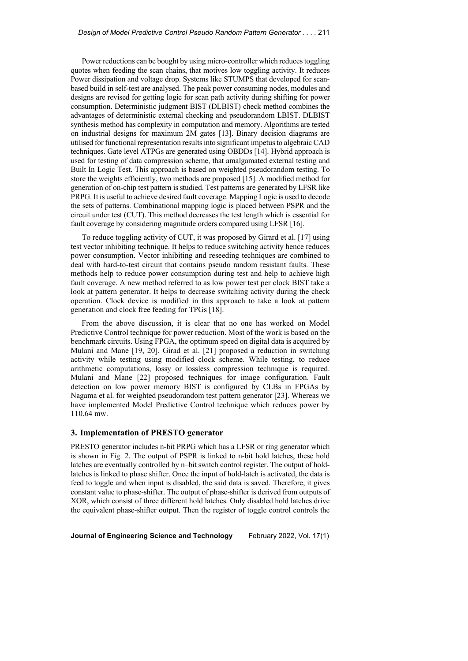Power reductions can be bought by using micro-controller which reduces toggling quotes when feeding the scan chains, that motives low toggling activity. It reduces Power dissipation and voltage drop. Systems like STUMPS that developed for scanbased build in self-test are analysed. The peak power consuming nodes, modules and designs are revised for getting logic for scan path activity during shifting for power consumption. Deterministic judgment BIST (DLBIST) check method combines the advantages of deterministic external checking and pseudorandom LBIST. DLBIST synthesis method has complexity in computation and memory. Algorithms are tested on industrial designs for maximum 2M gates [13]. Binary decision diagrams are utilised for functional representation resultsinto significant impetusto algebraic CAD techniques. Gate level ATPGs are generated using OBDDs [14]. Hybrid approach is used for testing of data compression scheme, that amalgamated external testing and Built In Logic Test. This approach is based on weighted pseudorandom testing. To store the weights efficiently, two methods are proposed [15]. A modified method for generation of on-chip test pattern is studied. Test patterns are generated by LFSR like PRPG. It is useful to achieve desired fault coverage. Mapping Logic is used to decode the sets of patterns. Combinational mapping logic is placed between PSPR and the circuit under test (CUT). This method decreases the test length which is essential for fault coverage by considering magnitude orders compared using LFSR [16].

To reduce toggling activity of CUT, it was proposed by Girard et al. [17] using test vector inhibiting technique. It helps to reduce switching activity hence reduces power consumption. Vector inhibiting and reseeding techniques are combined to deal with hard-to-test circuit that contains pseudo random resistant faults. These methods help to reduce power consumption during test and help to achieve high fault coverage. A new method referred to as low power test per clock BIST take a look at pattern generator. It helps to decrease switching activity during the check operation. Clock device is modified in this approach to take a look at pattern generation and clock free feeding for TPGs [18].

From the above discussion, it is clear that no one has worked on Model Predictive Control technique for power reduction. Most of the work is based on the benchmark circuits. Using FPGA, the optimum speed on digital data is acquired by Mulani and Mane [19, 20]. Girad et al. [21] proposed a reduction in switching activity while testing using modified clock scheme. While testing, to reduce arithmetic computations, lossy or lossless compression technique is required. Mulani and Mane [22] proposed techniques for image configuration. Fault detection on low power memory BIST is configured by CLBs in FPGAs by Nagama et al. for weighted pseudorandom test pattern generator [23]. Whereas we have implemented Model Predictive Control technique which reduces power by 110.64 mw.

## **3. Implementation of PRESTO generator**

PRESTO generator includes n-bit PRPG which has a LFSR or ring generator which is shown in Fig. 2. The output of PSPR is linked to n-bit hold latches, these hold latches are eventually controlled by n–bit switch control register. The output of holdlatches is linked to phase shifter. Once the input of hold-latch is activated, the data is feed to toggle and when input is disabled, the said data is saved. Therefore, it gives constant value to phase-shifter. The output of phase-shifter is derived from outputs of XOR, which consist of three different hold latches. Only disabled hold latches drive the equivalent phase-shifter output. Then the register of toggle control controls the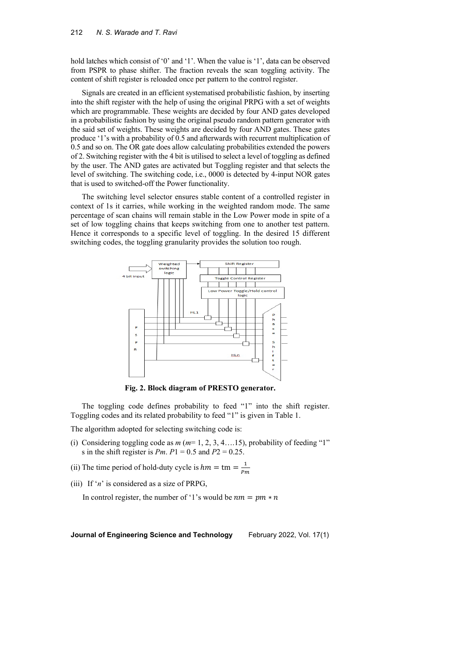hold latches which consist of '0' and '1'. When the value is '1', data can be observed from PSPR to phase shifter. The fraction reveals the scan toggling activity. The content of shift register is reloaded once per pattern to the control register.

Signals are created in an efficient systematised probabilistic fashion, by inserting into the shift register with the help of using the original PRPG with a set of weights which are programmable. These weights are decided by four AND gates developed in a probabilistic fashion by using the original pseudo random pattern generator with the said set of weights. These weights are decided by four AND gates. These gates produce '1's with a probability of 0.5 and afterwards with recurrent multiplication of 0.5 and so on. The OR gate does allow calculating probabilities extended the powers of 2. Switching register with the 4 bit is utilised to select a level of toggling as defined by the user. The AND gates are activated but Toggling register and that selects the level of switching. The switching code, i.e., 0000 is detected by 4-input NOR gates that is used to switched-off the Power functionality.

The switching level selector ensures stable content of a controlled register in context of 1s it carries, while working in the weighted random mode. The same percentage of scan chains will remain stable in the Low Power mode in spite of a set of low toggling chains that keeps switching from one to another test pattern. Hence it corresponds to a specific level of toggling. In the desired 15 different switching codes, the toggling granularity provides the solution too rough.



**Fig. 2. Block diagram of PRESTO generator.**

The toggling code defines probability to feed "1" into the shift register. Toggling codes and its related probability to feed "1" is given in Table 1.

The algorithm adopted for selecting switching code is:

- (i) Considering toggling code as *m* (*m*= 1, 2, 3, 4….15), probability of feeding "1" s in the shift register is *Pm*. *P*1 = 0.5 and *P*2 = 0.25.
- (ii) The time period of hold-duty cycle is  $hm = \text{tm} = \frac{1}{Pm}$
- (iii) If '*n*' is considered as a size of PRPG,

In control register, the number of '1's would be  $nm = pm * n$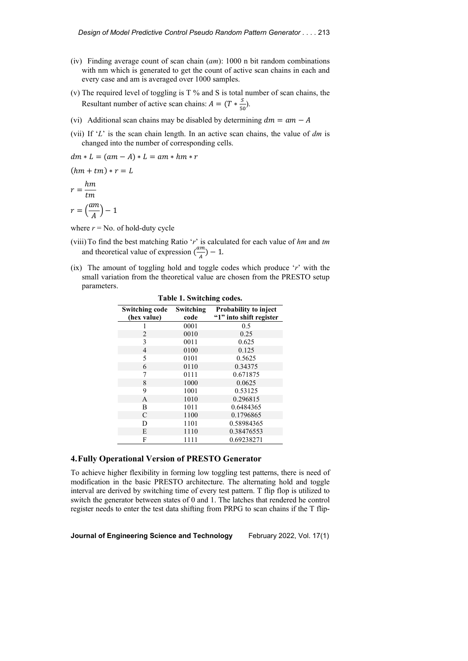- (iv) Finding average count of scan chain (*am*): 1000 n bit random combinations with nm which is generated to get the count of active scan chains in each and every case and am is averaged over 1000 samples.
- (v) The required level of toggling is T % and S is total number of scan chains, the Resultant number of active scan chains:  $A = (T * \frac{S}{50})$ .
- (vi) Additional scan chains may be disabled by determining  $dm = am A$
- (vii) If '*L*' is the scan chain length. In an active scan chains, the value of *dm* is changed into the number of corresponding cells.

 $(hm + tm) * r = L$  $r = \frac{nm}{tm}$  $r = \left(\frac{am}{A}\right) - 1$ 

where  $r = No$ . of hold-duty cycle

 $dm * L = (am - A) * L = am * hm * r$ 

- (viii)To find the best matching Ratio '*r*' is calculated for each value of *hm* and *tm* and theoretical value of expression  $\left(\frac{am}{A}\right) - 1$ .
- (ix) The amount of toggling hold and toggle codes which produce '*r*' with the small variation from the theoretical value are chosen from the PRESTO setup parameters.

| Table 1. Switching codes.            |                   |                                                  |  |  |
|--------------------------------------|-------------------|--------------------------------------------------|--|--|
| <b>Switching code</b><br>(hex value) | Switching<br>code | Probability to inject<br>"1" into shift register |  |  |
|                                      | 0001              | 0.5                                              |  |  |
| $\overline{2}$                       | 0010              | 0.25                                             |  |  |
| 3                                    | 0011              | 0.625                                            |  |  |
| 4                                    | 0100              | 0.125                                            |  |  |
| 5                                    | 0101              | 0.5625                                           |  |  |
| 6                                    | 0110              | 0.34375                                          |  |  |
| 7                                    | 0111              | 0.671875                                         |  |  |
| 8                                    | 1000              | 0.0625                                           |  |  |
| 9                                    | 1001              | 0.53125                                          |  |  |
| A                                    | 1010              | 0.296815                                         |  |  |
| B                                    | 1011              | 0.6484365                                        |  |  |
| C                                    | 1100              | 0.1796865                                        |  |  |
| D                                    | 1101              | 0.58984365                                       |  |  |
| E                                    | 1110              | 0.38476553                                       |  |  |
| F                                    | 1111              | 0.69238271                                       |  |  |

# **4.Fully Operational Version of PRESTO Generator**

To achieve higher flexibility in forming low toggling test patterns, there is need of modification in the basic PRESTO architecture. The alternating hold and toggle interval are derived by switching time of every test pattern. T flip flop is utilized to switch the generator between states of 0 and 1. The latches that rendered he control register needs to enter the test data shifting from PRPG to scan chains if the T flip-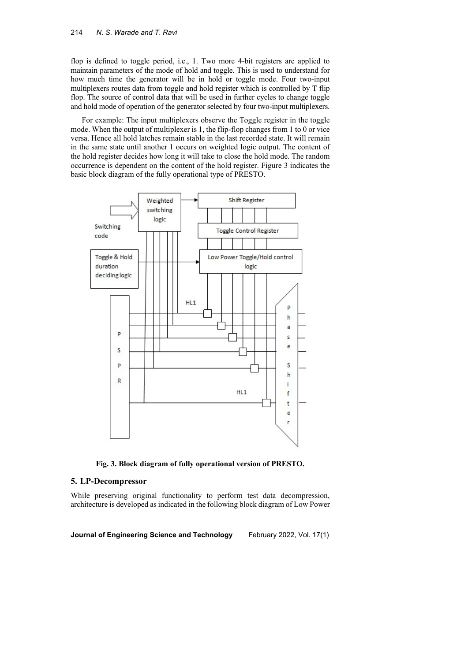flop is defined to toggle period, i.e., 1. Two more 4-bit registers are applied to maintain parameters of the mode of hold and toggle. This is used to understand for how much time the generator will be in hold or toggle mode. Four two-input multiplexers routes data from toggle and hold register which is controlled by T flip flop. The source of control data that will be used in further cycles to change toggle and hold mode of operation of the generator selected by four two-input multiplexers.

For example: The input multiplexers observe the Toggle register in the toggle mode. When the output of multiplexer is 1, the flip-flop changes from 1 to 0 or vice versa. Hence all hold latches remain stable in the last recorded state. It will remain in the same state until another 1 occurs on weighted logic output. The content of the hold register decides how long it will take to close the hold mode. The random occurrence is dependent on the content of the hold register. Figure 3 indicates the basic block diagram of the fully operational type of PRESTO.



**Fig. 3. Block diagram of fully operational version of PRESTO.**

### **5. LP-Decompressor**

While preserving original functionality to perform test data decompression, architecture is developed asindicated in the following block diagram of Low Power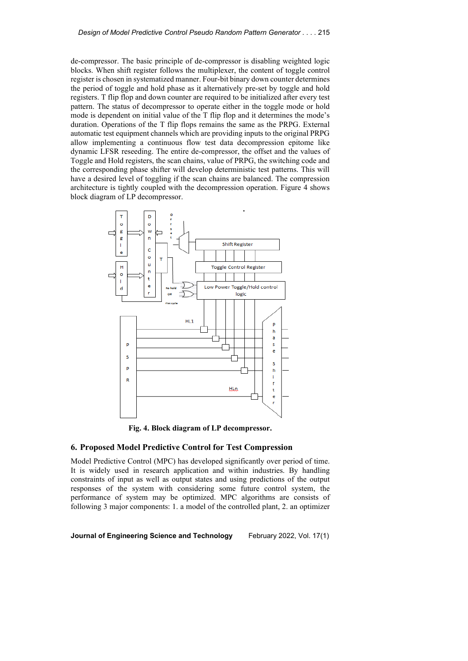de-compressor. The basic principle of de-compressor is disabling weighted logic blocks. When shift register follows the multiplexer, the content of toggle control register is chosen in systematized manner. Four-bit binary down counter determines the period of toggle and hold phase as it alternatively pre-set by toggle and hold registers. T flip flop and down counter are required to be initialized after every test pattern. The status of decompressor to operate either in the toggle mode or hold mode is dependent on initial value of the T flip flop and it determines the mode's duration. Operations of the T flip flops remains the same as the PRPG. External automatic test equipment channels which are providing inputs to the original PRPG allow implementing a continuous flow test data decompression epitome like dynamic LFSR reseeding. The entire de-compressor, the offset and the values of Toggle and Hold registers, the scan chains, value of PRPG, the switching code and the corresponding phase shifter will develop deterministic test patterns. This will have a desired level of toggling if the scan chains are balanced. The compression architecture is tightly coupled with the decompression operation. Figure 4 shows block diagram of LP decompressor.



**Fig. 4. Block diagram of LP decompressor.**

### **6. Proposed Model Predictive Control for Test Compression**

Model Predictive Control (MPC) has developed significantly over period of time. It is widely used in research application and within industries. By handling constraints of input as well as output states and using predictions of the output responses of the system with considering some future control system, the performance of system may be optimized. MPC algorithms are consists of following 3 major components: 1. a model of the controlled plant, 2. an optimizer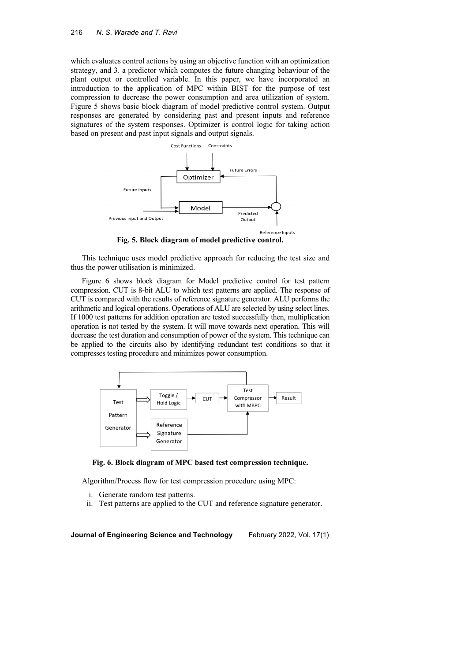which evaluates control actions by using an objective function with an optimization strategy, and 3. a predictor which computes the future changing behaviour of the plant output or controlled variable. In this paper, we have incorporated an introduction to the application of MPC within BIST for the purpose of test compression to decrease the power consumption and area utilization of system. Figure 5 shows basic block diagram of model predictive control system. Output responses are generated by considering past and present inputs and reference signatures of the system responses. Optimizer is control logic for taking action based on present and past input signals and output signals.



**Fig. 5. Block diagram of model predictive control.**

This technique uses model predictive approach for reducing the test size and thus the power utilisation is minimized.

Figure 6 shows block diagram for Model predictive control for test pattern compression. CUT is 8-bit ALU to which test patterns are applied. The response of CUT is compared with the results of reference signature generator. ALU performs the arithmetic and logical operations. Operations of ALU are selected by using select lines. If 1000 test patterns for addition operation are tested successfully then, multiplication operation is not tested by the system. It will move towards next operation. This will decrease the test duration and consumption of power of the system. This technique can be applied to the circuits also by identifying redundant test conditions so that it compresses testing procedure and minimizes power consumption.





Algorithm/Process flow for test compression procedure using MPC:

- i. Generate random test patterns.
- ii. Test patterns are applied to the CUT and reference signature generator.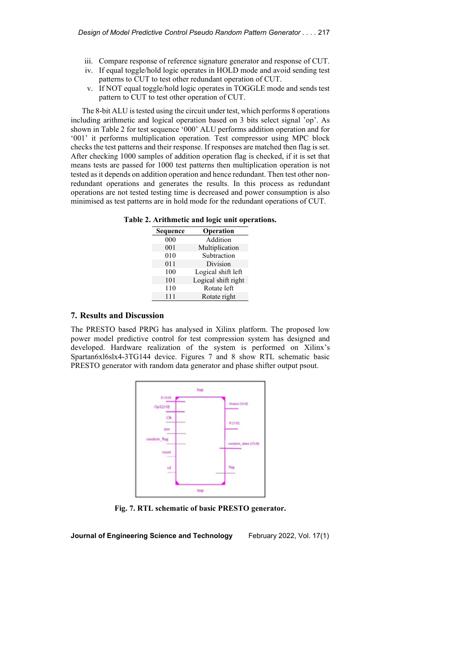- iii. Compare response of reference signature generator and response of CUT.
- iv. If equal toggle/hold logic operates in HOLD mode and avoid sending test patterns to CUT to test other redundant operation of CUT.
- v. If NOT equal toggle/hold logic operates in TOGGLE mode and sends test pattern to CUT to test other operation of CUT.

The 8-bit ALU is tested using the circuit under test, which performs 8 operations including arithmetic and logical operation based on 3 bits select signal 'op'. As shown in Table 2 for test sequence '000' ALU performs addition operation and for '001' it performs multiplication operation. Test compressor using MPC block checks the test patterns and their response. If responses are matched then flag is set. After checking 1000 samples of addition operation flag is checked, if it is set that means tests are passed for 1000 test patterns then multiplication operation is not tested as it depends on addition operation and hence redundant. Then test other nonredundant operations and generates the results. In this process as redundant operations are not tested testing time is decreased and power consumption is also minimised as test patterns are in hold mode for the redundant operations of CUT.

| Sequence | Operation           |
|----------|---------------------|
| 000      | Addition            |
| 001      | Multiplication      |
| 010      | Subtraction         |
| 011      | Division            |
| 100      | Logical shift left  |
| 101      | Logical shift right |
| 110      | Rotate left         |
| 111      | Rotate right        |

**Table 2. Arithmetic and logic unit operations.**

# **7. Results and Discussion**

The PRESTO based PRPG has analysed in Xilinx platform. The proposed low power model predictive control for test compression system has designed and developed. Hardware realization of the system is performed on Xilinx's Spartan6xl6slx4-3TG144 device. Figures 7 and 8 show RTL schematic basic PRESTO generator with random data generator and phase shifter output psout.



**Fig. 7. RTL schematic of basic PRESTO generator.**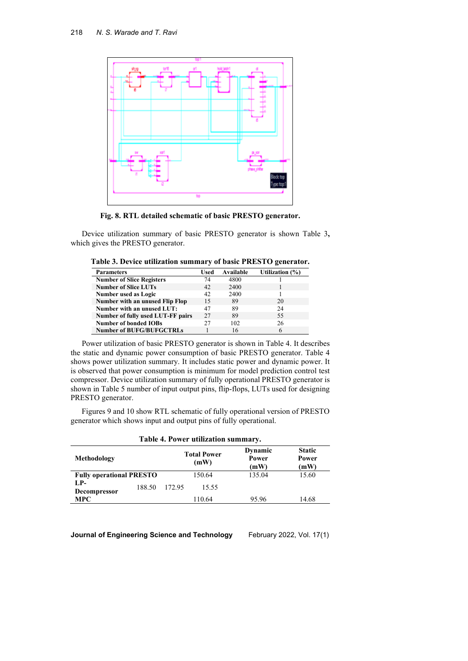

**Fig. 8. RTL detailed schematic of basic PRESTO generator.**

Device utilization summary of basic PRESTO generator is shown Table 3**,** which gives the PRESTO generator.

| Table 3. Device utilization summary of basic PRESTO generator. |  |  |  |
|----------------------------------------------------------------|--|--|--|
|----------------------------------------------------------------|--|--|--|

| <b>Parameters</b>                 | Used | Available | Utilization (%) |
|-----------------------------------|------|-----------|-----------------|
| <b>Number of Slice Registers</b>  | 74   | 4800      |                 |
| <b>Number of Slice LUTs</b>       | 42   | 2400      |                 |
| <b>Number used as Logic</b>       | 42   | 2400      |                 |
| Number with an unused Flip Flop   | 15   | 89        | 20              |
| Number with an unused LUT:        | 47   | 89        | 24              |
| Number of fully used LUT-FF pairs | 27   | 89        | 55              |
| <b>Number of bonded IOBs</b>      | 27   | 102       | 26              |
| <b>Number of BUFG/BUFGCTRLs</b>   |      | 16        |                 |

Power utilization of basic PRESTO generator is shown in Table 4. It describes the static and dynamic power consumption of basic PRESTO generator. Table 4 shows power utilization summary. It includes static power and dynamic power. It is observed that power consumption is minimum for model prediction control test compressor. Device utilization summary of fully operational PRESTO generator is shown in Table 5 number of input output pins, flip-flops, LUTs used for designing PRESTO generator.

Figures 9 and 10 show RTL schematic of fully operational version of PRESTO generator which shows input and output pins of fully operational.

**Table 4. Power utilization summary.**

| Table 4. Power utilization summary. |        |                            |                          |                                |
|-------------------------------------|--------|----------------------------|--------------------------|--------------------------------|
| Methodology                         |        | <b>Total Power</b><br>(mW) | Dynamic<br>Power<br>(mW) | <b>Static</b><br>Power<br>(mW) |
| <b>Fully operational PRESTO</b>     |        | 150.64                     | 135.04                   | 15.60                          |
| LP-<br>188.50<br>Decompressor       | 172.95 | 15.55                      |                          |                                |
| <b>MPC</b>                          |        | 110.64                     | 95.96                    | 14.68                          |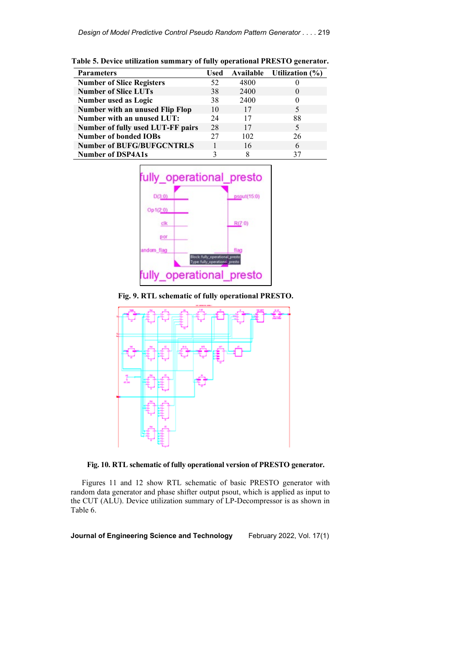| <b>Parameters</b>                 | Used | Available | Utilization $(\% )$ |
|-----------------------------------|------|-----------|---------------------|
| <b>Number of Slice Registers</b>  | 52   | 4800      |                     |
| <b>Number of Slice LUTs</b>       | 38   | 2400      | $\theta$            |
| Number used as Logic              | 38   | 2400      |                     |
| Number with an unused Flip Flop   | 10   | 17        | 5                   |
| Number with an unused LUT:        | 24   | 17        | 88                  |
| Number of fully used LUT-FF pairs | 28   | 17        | 5                   |
| <b>Number of bonded IOBs</b>      | 27   | 102       | 26                  |
| <b>Number of BUFG/BUFGCNTRLS</b>  |      | 16        | 6                   |
| <b>Number of DSP4A1s</b>          |      |           | 37                  |





**Fig. 9. RTL schematic of fully operational PRESTO.**



**Fig. 10. RTL schematic of fully operational version of PRESTO generator.**

Figures 11 and 12 show RTL schematic of basic PRESTO generator with random data generator and phase shifter output psout, which is applied as input to the CUT (ALU). Device utilization summary of LP-Decompressor is as shown in Table 6.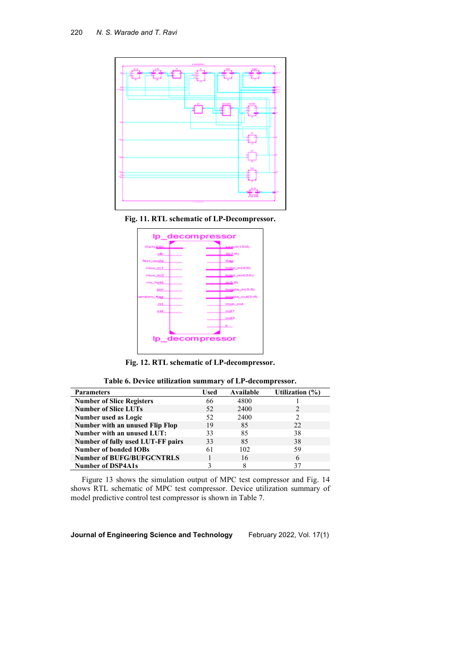

**Fig. 11. RTL schematic of LP-Decompressor.**



**Fig. 12. RTL schematic of LP-decompressor.**

|  |  |  |  |  | Table 6. Device utilization summary of LP-decompressor. |
|--|--|--|--|--|---------------------------------------------------------|
|--|--|--|--|--|---------------------------------------------------------|

| <b>Parameters</b>                 | Used | Available | Utilization (%) |
|-----------------------------------|------|-----------|-----------------|
| <b>Number of Slice Registers</b>  | 66   | 4800      |                 |
| <b>Number of Slice LUTs</b>       | 52   | 2400      |                 |
| Number used as Logic              | 52   | 2400      | 2               |
| Number with an unused Flip Flop   | 19   | 85        | 22.             |
| Number with an unused LUT:        | 33   | 85        | 38              |
| Number of fully used LUT-FF pairs | 33   | 85        | 38              |
| <b>Number of bonded IOBs</b>      | 61   | 102       | 59              |
| <b>Number of BUFG/BUFGCNTRLS</b>  |      | 16        | 6               |
| <b>Number of DSP4A1s</b>          |      |           | 37              |

Figure 13 shows the simulation output of MPC test compressor and Fig. 14 shows RTL schematic of MPC test compressor. Device utilization summary of model predictive control test compressor is shown in Table 7.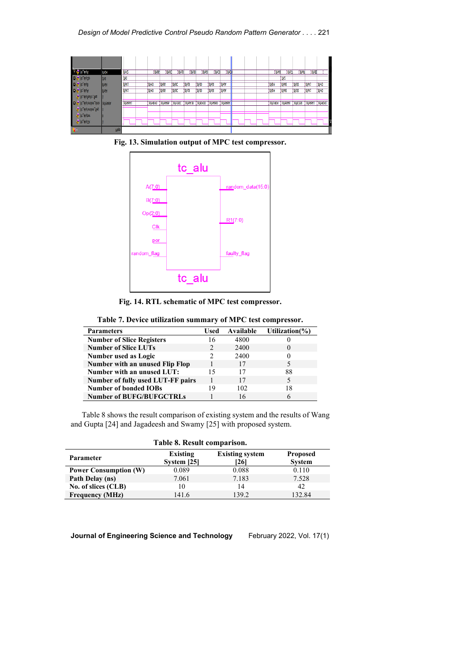

**Fig. 13. Simulation output of MPC test compressor.**



**Fig. 14. RTL schematic of MPC test compressor.**

| Table 7. Device utilization summary of MPC test compressor. |  |  |
|-------------------------------------------------------------|--|--|
|-------------------------------------------------------------|--|--|

| <b>Parameters</b>                 | Used          | Available | Utilization $(\% )$ |
|-----------------------------------|---------------|-----------|---------------------|
| <b>Number of Slice Registers</b>  | 16            | 4800      |                     |
| <b>Number of Slice LUTs</b>       | $\mathcal{D}$ | 2400      | $\theta$            |
| Number used as Logic              |               | 2400      | 0                   |
| Number with an unused Flip Flop   |               | 17        |                     |
| Number with an unused LUT:        | 15            | 17        | 88                  |
| Number of fully used LUT-FF pairs |               | 17        | 5                   |
| <b>Number of bonded IOBs</b>      | 19            | 102       | 18                  |
| <b>Number of BUFG/BUFGCTRLs</b>   |               | 16        | h                   |

Table 8 shows the result comparison of existing system and the results of Wang and Gupta [24] and Jagadeesh and Swamy [25] with proposed system.

| Table 8. Result comparison.  |                         |                                |                                  |  |
|------------------------------|-------------------------|--------------------------------|----------------------------------|--|
| Parameter                    | Existing<br>System [25] | <b>Existing system</b><br>[26] | <b>Proposed</b><br><b>System</b> |  |
| <b>Power Consumption (W)</b> | 0.089                   | 0.088                          | 0.110                            |  |
| Path Delay (ns)              | 7.061                   | 7.183                          | 7.528                            |  |
| No. of slices (CLB)          | 10                      | 14                             | 42                               |  |
| <b>Frequency (MHz)</b>       | 141.6                   | 139.2                          | 132.84                           |  |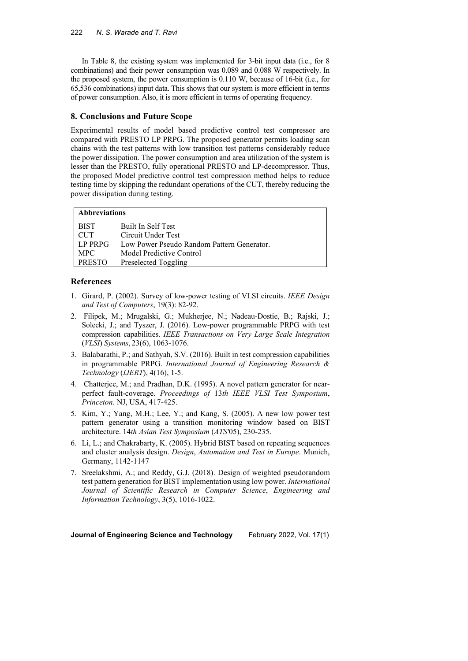In Table 8, the existing system was implemented for 3-bit input data (i.e., for 8 combinations) and their power consumption was 0.089 and 0.088 W respectively. In the proposed system, the power consumption is 0.110 W, because of 16-bit (i.e., for 65,536 combinations) input data. This shows that our system is more efficient in terms of power consumption. Also, it is more efficient in terms of operating frequency.

# **8. Conclusions and Future Scope**

Experimental results of model based predictive control test compressor are compared with PRESTO LP PRPG. The proposed generator permits loading scan chains with the test patterns with low transition test patterns considerably reduce the power dissipation. The power consumption and area utilization of the system is lesser than the PRESTO, fully operational PRESTO and LP-decompressor. Thus, the proposed Model predictive control test compression method helps to reduce testing time by skipping the redundant operations of the CUT, thereby reducing the power dissipation during testing.

# **Abbreviations**

| <b>BIST</b>   | <b>Built In Self Test</b>                  |
|---------------|--------------------------------------------|
| <b>CUT</b>    | Circuit Under Test                         |
| LP PRPG       | Low Power Pseudo Random Pattern Generator. |
| MPC.          | Model Predictive Control                   |
| <b>PRESTO</b> | Preselected Toggling                       |

### **References**

- 1. [Girard,](https://www.researchgate.net/scientific-contributions/5937047_Patrick_Girard?_sg%5B0%5D=V9ik6LHyf_h53K9VTeafIPwjrZBdC0a8muOgr9ReXkb4znlCQBHPR6pf5-X9I37sTWVBGCE.IpMc6A0ygvrAn76VGvsICLEeL3FB059Xqa-jPbXV52p_TGRtJZAy4udYb3RQEYQpinQ-yVoNVnFFrhtlyzMpkQ&_sg%5B1%5D=jpBc2jCXJrAWS-d4Taxo5W7g7l0YoEWsQ_ZXDCAVExkSnBZuje_l-gTBctifAx6RbnX4RHU.Eg64_WhU3Dyo8YfcXafns6W62fMFq2a9R1ztbnA56xc5CLRP-kjsa0kW0Q78DEQ1zTwErKUepKfTXBcSg9ck5Q) P. (2002). Survey of low-power testing of VLSI circuits. *IEEE Design and Test of Computers*, 19(3): 82-92.
- 2. Filipek, M.; Mrugalski, G.; Mukherjee, N.; Nadeau-Dostie, B.; Rajski, J.; Solecki, J.; and Tyszer, J. (2016). Low-power programmable PRPG with test compression capabilities. *IEEE Transactions on Very Large Scale Integration* (*VLSI*) *Systems*, 23(6), 1063-1076.
- 3. Balabarathi, P.; and Sathyah, S.V. (2016). Built in test compression capabilities in programmable PRPG. *International Journal of Engineering Research & Technology* (*IJERT*), 4(16), 1-5.
- 4. Chatterjee, M.; and Pradhan, D.K. (1995). A novel pattern generator for nearperfect fault-coverage. *Proceedings of* 13*th IEEE VLSI Test Symposium*, *Princeton*. NJ, USA, 417-425.
- 5. Kim, Y.; Yang, M.H.; Lee, Y.; and Kang, S. (2005). A new low power test pattern generator using a transition monitoring window based on BIST architecture. 14*th Asian Test Symposium* (*ATS'*05), 230-235.
- 6. Li, L.; and Chakrabarty, K. (2005). Hybrid BIST based on repeating sequences and cluster analysis design. *Design*, *Automation and Test in Europe*. Munich, Germany, 1142-1147
- 7. Sreelakshmi, A.; and Reddy, G.J. (2018). Design of weighted pseudorandom test pattern generation for BIST implementation using low power. *International Journal of Scientific Research in Computer Science*, *Engineering and Information Technology*, 3(5), 1016-1022.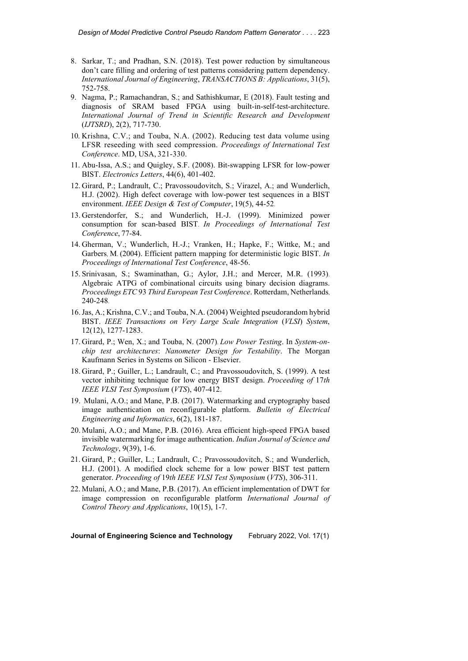- 8. Sarkar, T.; and Pradhan, S.N. (2018). Test power reduction by simultaneous don't care filling and ordering of test patterns considering pattern dependency. *International Journal of Engineering*, *TRANSACTIONS B: Applications*, 31(5), 752-758.
- 9. Nagma, P.; Ramachandran, S.; and Sathishkumar, E (2018). Fault testing and diagnosis of SRAM based FPGA using built-in-self-test-architecture. *International Journal of Trend in Scientific Research and Development* (*IJTSRD*), 2(2), 717-730.
- 10. Krishna, C.V.; and Touba, N.A. (2002). Reducing test data volume using LFSR reseeding with seed compression. *Proceedings of International Test Conference*. MD, USA, 321-330.
- 11. Abu-Issa, A.S.; and Quigley, S.F. (2008). Bit-swapping LFSR for low-power BIST. *Electronics Letters*, 44(6), 401-402.
- 12. Girard, P.; Landrault, C.; Pravossoudovitch, S.; Virazel, A.; and Wunderlich, H.J. (2002). High defect coverage with low-power test sequences in a BIST environment. *IEEE Design & Test of Computer*, 19(5), 44-52.
- 13. Gerstendorfer, S.; and Wunderlich, H.-J. (1999). Minimized power consumption for scan-based BIST. *In Proceedings of International Test Conference*, 77-84.
- 14. Gherman, V.; Wunderlich, H.-J.; Vranken, H.; Hapke, F.; Wittke, M.; and Garbers, M. (2004). Efficient pattern mapping for deterministic logic BIST. *In Proceedings of International Test Conference*, 48-56.
- 15. Srinivasan, S.; Swaminathan, G.; Aylor, J.H.; and Mercer, M.R. (1993). Algebraic ATPG of combinational circuits using binary decision diagrams. *Proceedings ETC* 93 *Third European Test Conference*. Rotterdam, Netherlands, 240-248.
- 16.Jas, A.; Krishna, C.V.; and Touba, N.A. (2004) Weighted pseudorandom hybrid BIST. *IEEE Transactions on Very Large Scale Integration* (*VLSI*) *System*, 12(12), 1277-1283.
- 17. Girard, P.; Wen, X.; and Touba, N. (2007). *Low Power Testing*. In *System-onchip test architectures*: *Nanometer Design for Testability*. The Morgan Kaufmann Series in Systems on Silicon - Elsevier.
- 18. Girard, P.; Guiller, L.; Landrault, C.; and Pravossoudovitch, S. (1999). A test vector inhibiting technique for low energy BIST design. *Proceeding of* 17*th IEEE VLSI Test Symposium* (*VTS*), 407-412.
- 19. Mulani, A.O.; and Mane, P.B. (2017). Watermarking and cryptography based image authentication on reconfigurable platform. *Bulletin of Electrical Engineering and Informatics*, 6(2), 181-187.
- 20. Mulani, A.O.; and Mane, P.B. (2016). Area efficient high-speed FPGA based invisible watermarking for image authentication. *Indian Journal of Science and Technology*, 9(39), 1-6.
- 21. Girard, P.; Guiller, L.; Landrault, C.; Pravossoudovitch, S.; and Wunderlich, H.J. (2001). A modified clock scheme for a low power BIST test pattern generator. *Proceeding of* 19*th IEEE VLSI Test Symposium* (*VTS*), 306-311.
- 22. Mulani, A.O.; and Mane, P.B. (2017). An efficient implementation of DWT for image compression on reconfigurable platform *International Journal of Control Theory and Applications*, 10(15), 1-7.